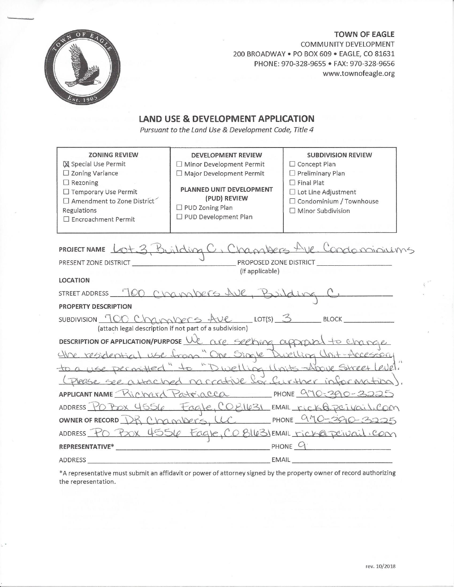

**TOWN OF EAGLE** COMMUNITY DEVELOPMENT 200 BROADWAY . PO BOX 609 . EAGLE, CO 81631 PHONE: 970-328-9655 · FAX: 970-328-9656 www.townofeagle.org

# LAND USE & DEVELOPMENT APPLICATION

Pursuant to the Land Use & Development Code, Title 4

| <b>ZONING REVIEW</b><br><b>X</b> Special Use Permit<br>$\square$ Zoning Variance<br>$\Box$ Rezoning<br>□ Temporary Use Permit<br>$\Box$ Amendment to Zone District<br>Regulations<br>□ Encroachment Permit | DEVELOPMENT REVIEW<br>$\Box$ Minor Development Permit<br>□ Major Development Permit<br>PLANNED UNIT DEVELOPMENT<br>(PUD) REVIEW<br>$\Box$ PUD Zoning Plan<br>□ PUD Development Plan | <b>SUBDIVISION REVIEW</b><br>□ Concept Plan<br>$\Box$ Preliminary Plan<br>$\Box$ Final Plat<br>□ Lot Line Adjustment<br>□ Condominium / Townhouse<br>$\Box$ Minor Subdivision |  |  |
|------------------------------------------------------------------------------------------------------------------------------------------------------------------------------------------------------------|-------------------------------------------------------------------------------------------------------------------------------------------------------------------------------------|-------------------------------------------------------------------------------------------------------------------------------------------------------------------------------|--|--|
|                                                                                                                                                                                                            |                                                                                                                                                                                     |                                                                                                                                                                               |  |  |
| PROJECT NAME LOt 3, Building C, Chambers Ave. Condominiums                                                                                                                                                 |                                                                                                                                                                                     |                                                                                                                                                                               |  |  |
| (if applicable)<br><b>LOCATION</b>                                                                                                                                                                         |                                                                                                                                                                                     |                                                                                                                                                                               |  |  |
|                                                                                                                                                                                                            |                                                                                                                                                                                     |                                                                                                                                                                               |  |  |
| STREET ADDRESS 700 Channocros Ave, Building C                                                                                                                                                              |                                                                                                                                                                                     |                                                                                                                                                                               |  |  |
| <b>PROPERTY DESCRIPTION</b>                                                                                                                                                                                |                                                                                                                                                                                     |                                                                                                                                                                               |  |  |
| SUBDIVISION TOO Christophers the LOT(S) 3 BLOCK<br>(attach legal description if not part of a subdivision)                                                                                                 |                                                                                                                                                                                     |                                                                                                                                                                               |  |  |
| DESCRIPTION OF APPLICATION/PURPOSE We are section approved to change                                                                                                                                       |                                                                                                                                                                                     |                                                                                                                                                                               |  |  |
| the residential use from "One Single Duelling Unit-Accessory                                                                                                                                               |                                                                                                                                                                                     |                                                                                                                                                                               |  |  |
| to a use permitted" to "Dwelling linits-drove!<br>Street Level.                                                                                                                                            |                                                                                                                                                                                     |                                                                                                                                                                               |  |  |
| Please see a Hached narrative for further information                                                                                                                                                      |                                                                                                                                                                                     |                                                                                                                                                                               |  |  |
| APPLICANT NAME Richard Patriacca PHONE 970-3225                                                                                                                                                            |                                                                                                                                                                                     |                                                                                                                                                                               |  |  |
| ADDRESS PO POX 4556 Fagle, COB1631 EMAIL rick@peivail.com                                                                                                                                                  |                                                                                                                                                                                     |                                                                                                                                                                               |  |  |
|                                                                                                                                                                                                            |                                                                                                                                                                                     | OWNER OF RECORD DR Chambers, UC PHONE 970-390-3225                                                                                                                            |  |  |
| ADDRESS PO POOX 4556 Fagle, CO BILBIEMAIL rich@peivail.com                                                                                                                                                 |                                                                                                                                                                                     |                                                                                                                                                                               |  |  |
| $P$ HONE $Q$<br>REPRESENTATIVE*                                                                                                                                                                            |                                                                                                                                                                                     |                                                                                                                                                                               |  |  |
| ADDRESS                                                                                                                                                                                                    | EMAIL                                                                                                                                                                               |                                                                                                                                                                               |  |  |

\*A representative must submit an affidavit or power of attorney signed by the property owner of record authorizing the representation.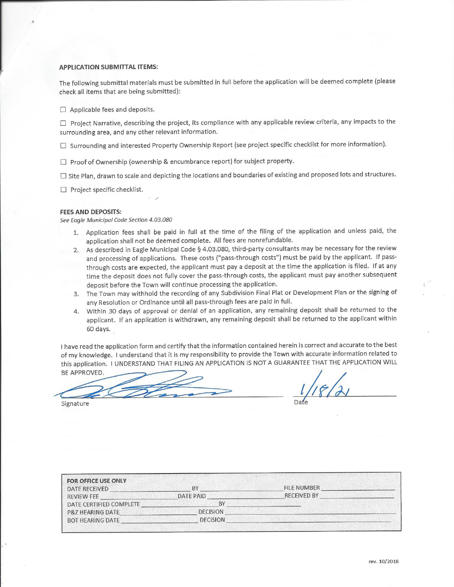#### **APPLICATION SUBMITTAL ITEMS:**

The following submittal materials must be submitted in full before the application will be deemed complete (please check all items that are being submitted):

 $\Box$  Applicable fees and deposits.

□ Project Narrative, describing the project, its compliance with any applicable review criteria, any impacts to the surrounding area, and any other relevant information.

□ Surrounding and interested Property Ownership Report (see project specific checklist for more information).

 $\Box$  Proof of Ownership (ownership & encumbrance report) for subject property.

 $\Box$  Site Plan, drawn to scale and depicting the locations and boundaries of existing and proposed lots and structures.

 $\Box$  Project specific checklist.

#### **FEES AND DEPOSITS:**

See Eagle Municipal Code Section 4.03.080

- 1. Application fees shall be paid in full at the time of the filing of the application and unless paid, the application shall not be deemed complete. All fees are nonrefundable.
- 2. As described in Eagle Municipal Code § 4.03.080, third-party consultants may be necessary for the review and processing of applications. These costs ("pass-through costs") must be paid by the applicant. If passthrough costs are expected, the applicant must pay a deposit at the time the application is filed. If at any time the deposit does not fully cover the pass-through costs, the applicant must pay another subsequent deposit before the Town will continue processing the application.
- 3. The Town may withhold the recording of any Subdivision Final Plat or Development Plan or the signing of any Resolution or Ordinance until all pass-through fees are paid in full.
- 4. Within 30 days of approval or denial of an application, any remaining deposit shall be returned to the applicant. If an application is withdrawn, any remaining deposit shall be returned to the applicant within 60 days.

I have read the application form and certify that the information contained herein is correct and accurate to the best of my knowledge. I understand that it is my responsibility to provide the Town with accurate information related to this application. I UNDERSTAND THAT FILING AN APPLICATION IS NOT A GUARANTEE THAT THE APPLICATION WILL BE APPROVED.

Signature

| <b>FOR OFFICE USE ONLY</b><br>DATE RECEIVED | BY              | <b>FILE NUMBER</b> |
|---------------------------------------------|-----------------|--------------------|
| <b>REVIEW FEE</b>                           | DATE PAID       | <b>RECEIVED BY</b> |
| DATE CERTIFIED COMPLETE                     | BY              |                    |
| <b>P&amp;Z HEARING DATE</b>                 | <b>DECISION</b> |                    |
| <b>BOT HEARING DATE</b>                     | <b>DECISION</b> |                    |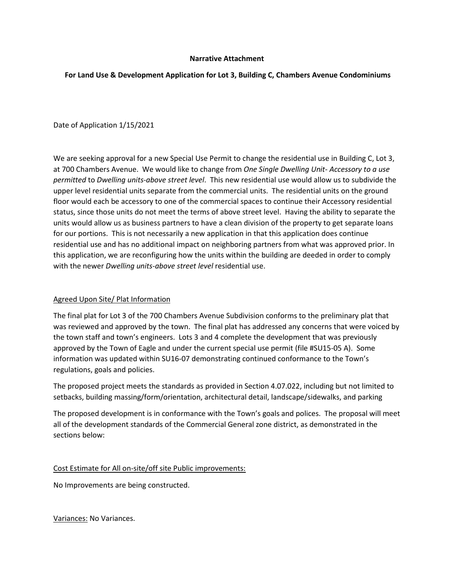### **Narrative Attachment**

### **For Land Use & Development Application for Lot 3, Building C, Chambers Avenue Condominiums**

Date of Application 1/15/2021

We are seeking approval for a new Special Use Permit to change the residential use in Building C, Lot 3, at 700 Chambers Avenue. We would like to change from *One Single Dwelling Unit- Accessory to a use permitted* to *Dwelling units-above street level*. This new residential use would allow us to subdivide the upper level residential units separate from the commercial units. The residential units on the ground floor would each be accessory to one of the commercial spaces to continue their Accessory residential status, since those units do not meet the terms of above street level. Having the ability to separate the units would allow us as business partners to have a clean division of the property to get separate loans for our portions. This is not necessarily a new application in that this application does continue residential use and has no additional impact on neighboring partners from what was approved prior. In this application, we are reconfiguring how the units within the building are deeded in order to comply with the newer *Dwelling units-above street level* residential use.

### Agreed Upon Site/ Plat Information

The final plat for Lot 3 of the 700 Chambers Avenue Subdivision conforms to the preliminary plat that was reviewed and approved by the town. The final plat has addressed any concerns that were voiced by the town staff and town's engineers. Lots 3 and 4 complete the development that was previously approved by the Town of Eagle and under the current special use permit (file #SU15-05 A). Some information was updated within SU16-07 demonstrating continued conformance to the Town's regulations, goals and policies.

The proposed project meets the standards as provided in Section 4.07.022, including but not limited to setbacks, building massing/form/orientation, architectural detail, landscape/sidewalks, and parking

The proposed development is in conformance with the Town's goals and polices. The proposal will meet all of the development standards of the Commercial General zone district, as demonstrated in the sections below:

Cost Estimate for All on-site/off site Public improvements:

No Improvements are being constructed.

Variances: No Variances.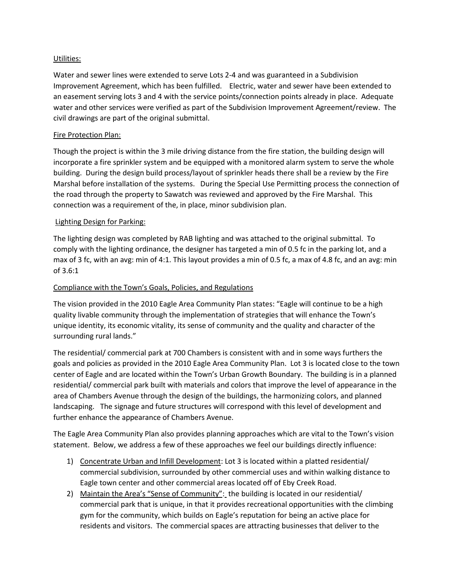## Utilities:

Water and sewer lines were extended to serve Lots 2-4 and was guaranteed in a Subdivision Improvement Agreement, which has been fulfilled. Electric, water and sewer have been extended to an easement serving lots 3 and 4 with the service points/connection points already in place. Adequate water and other services were verified as part of the Subdivision Improvement Agreement/review. The civil drawings are part of the original submittal.

# Fire Protection Plan:

Though the project is within the 3 mile driving distance from the fire station, the building design will incorporate a fire sprinkler system and be equipped with a monitored alarm system to serve the whole building. During the design build process/layout of sprinkler heads there shall be a review by the Fire Marshal before installation of the systems. During the Special Use Permitting process the connection of the road through the property to Sawatch was reviewed and approved by the Fire Marshal. This connection was a requirement of the, in place, minor subdivision plan.

# Lighting Design for Parking:

The lighting design was completed by RAB lighting and was attached to the original submittal. To comply with the lighting ordinance, the designer has targeted a min of 0.5 fc in the parking lot, and a max of 3 fc, with an avg: min of 4:1. This layout provides a min of 0.5 fc, a max of 4.8 fc, and an avg: min of 3.6:1

# Compliance with the Town's Goals, Policies, and Regulations

The vision provided in the 2010 Eagle Area Community Plan states: "Eagle will continue to be a high quality livable community through the implementation of strategies that will enhance the Town's unique identity, its economic vitality, its sense of community and the quality and character of the surrounding rural lands."

The residential/ commercial park at 700 Chambers is consistent with and in some ways furthers the goals and policies as provided in the 2010 Eagle Area Community Plan. Lot 3 is located close to the town center of Eagle and are located within the Town's Urban Growth Boundary. The building is in a planned residential/ commercial park built with materials and colors that improve the level of appearance in the area of Chambers Avenue through the design of the buildings, the harmonizing colors, and planned landscaping. The signage and future structures will correspond with this level of development and further enhance the appearance of Chambers Avenue.

The Eagle Area Community Plan also provides planning approaches which are vital to the Town's vision statement. Below, we address a few of these approaches we feel our buildings directly influence:

- 1) Concentrate Urban and Infill Development: Lot 3 is located within a platted residential/ commercial subdivision, surrounded by other commercial uses and within walking distance to Eagle town center and other commercial areas located off of Eby Creek Road.
- 2) Maintain the Area's "Sense of Community": the building is located in our residential/ commercial park that is unique, in that it provides recreational opportunities with the climbing gym for the community, which builds on Eagle's reputation for being an active place for residents and visitors. The commercial spaces are attracting businesses that deliver to the